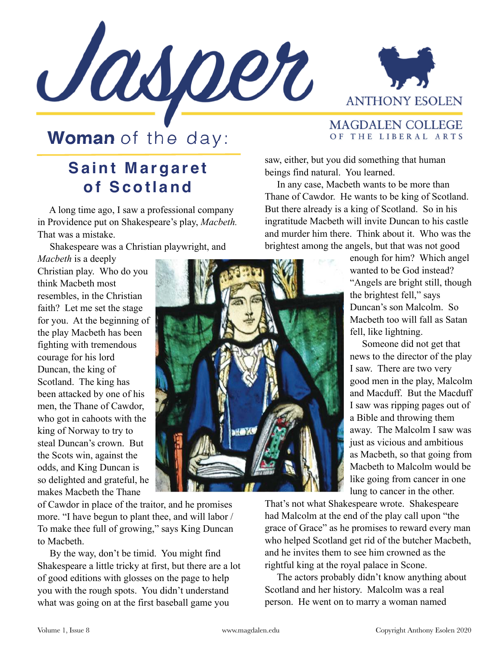



## **Woman** of the day:

## **Saint Margaret of Scotland**

 A long time ago, I saw a professional company in Providence put on Shakespeare's play, *Macbeth.*  That was a mistake.

Shakespeare was a Christian playwright, and

*Macbeth* is a deeply Christian play. Who do you think Macbeth most resembles, in the Christian faith? Let me set the stage for you. At the beginning of the play Macbeth has been fighting with tremendous courage for his lord Duncan, the king of Scotland. The king has been attacked by one of his men, the Thane of Cawdor, who got in cahoots with the king of Norway to try to steal Duncan's crown. But the Scots win, against the odds, and King Duncan is so delighted and grateful, he makes Macbeth the Thane

of Cawdor in place of the traitor, and he promises more. "I have begun to plant thee, and will labor / To make thee full of growing," says King Duncan to Macbeth.

 By the way, don't be timid. You might find Shakespeare a little tricky at first, but there are a lot of good editions with glosses on the page to help you with the rough spots. You didn't understand what was going on at the first baseball game you

## **MAGDALEN COLLEGE** OF THE LIBERAL ARTS

saw, either, but you did something that human beings find natural. You learned.

 In any case, Macbeth wants to be more than Thane of Cawdor. He wants to be king of Scotland. But there already is a king of Scotland. So in his ingratitude Macbeth will invite Duncan to his castle and murder him there. Think about it. Who was the brightest among the angels, but that was not good

> enough for him? Which angel wanted to be God instead? "Angels are bright still, though the brightest fell," says Duncan's son Malcolm. So Macbeth too will fall as Satan fell, like lightning.

> Someone did not get that news to the director of the play I saw. There are two very good men in the play, Malcolm and Macduff. But the Macduff I saw was ripping pages out of a Bible and throwing them away. The Malcolm I saw was just as vicious and ambitious as Macbeth, so that going from Macbeth to Malcolm would be like going from cancer in one lung to cancer in the other.

That's not what Shakespeare wrote. Shakespeare had Malcolm at the end of the play call upon "the grace of Grace" as he promises to reward every man who helped Scotland get rid of the butcher Macbeth, and he invites them to see him crowned as the rightful king at the royal palace in Scone.

 The actors probably didn't know anything about Scotland and her history. Malcolm was a real person. He went on to marry a woman named

**MOX**